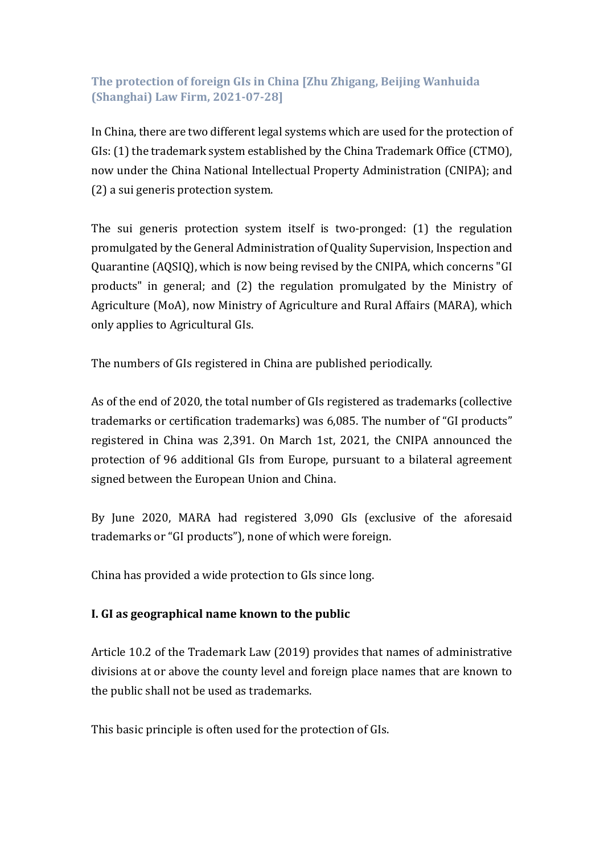# **The protection of foreign GIs in China [Zhu Zhigang, Beijing Wanhuida (Shanghai) Law Firm, 2021-07-28]**

In China, there are two different legal systems which are used for the protection of GIs: (1) the trademark system established by the China Trademark Office (CTMO), now under the China National Intellectual Property Administration (CNIPA); and (2) a sui generis protection system.

The sui generis protection system itself is two-pronged: (1) the regulation promulgated by the General Administration of Quality Supervision, Inspection and Quarantine (AQSIQ), which is now being revised by the CNIPA, which concerns "GI products" in general; and (2) the regulation promulgated by the Ministry of Agriculture (MoA), now Ministry of Agriculture and Rural Affairs (MARA), which only applies to Agricultural GIs.

The numbers of GIs registered in China are published periodically.

As of the end of 2020, the total number of GIs registered as trademarks (collective trademarks or certification trademarks) was 6,085. The number of "GI products" registered in China was 2,391. On March 1st, 2021, the CNIPA announced the protection of 96 additional GIs from Europe, pursuant to a bilateral agreement signed between the European Union and China.

By June 2020, MARA had registered 3,090 GIs (exclusive of the aforesaid trademarks or "GI products"), none of which were foreign.

China has provided a wide protection to GIs since long.

## **I. GI as geographical name known to the public**

Article 10.2 of the Trademark Law (2019) provides that names of administrative divisions at or above the county level and foreign place names that are known to the public shall not be used as trademarks.

This basic principle is often used for the protection of GIs.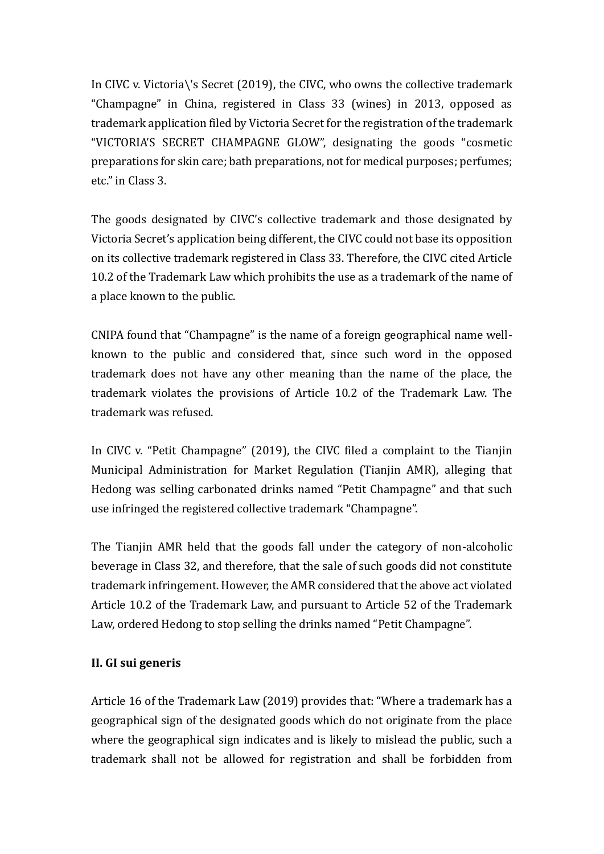In CIVC v. Victoria\'s Secret (2019), the CIVC, who owns the collective trademark "Champagne" in China, registered in Class 33 (wines) in 2013, opposed as trademark application filed by Victoria Secret for the registration of the trademark "VICTORIA'S SECRET CHAMPAGNE GLOW", designating the goods "cosmetic preparations for skin care; bath preparations, not for medical purposes; perfumes; etc." in Class 3.

The goods designated by CIVC's collective trademark and those designated by Victoria Secret's application being different, the CIVC could not base its opposition on its collective trademark registered in Class 33. Therefore, the CIVC cited Article 10.2 of the Trademark Law which prohibits the use as a trademark of the name of a place known to the public.

CNIPA found that "Champagne" is the name of a foreign geographical name wellknown to the public and considered that, since such word in the opposed trademark does not have any other meaning than the name of the place, the trademark violates the provisions of Article 10.2 of the Trademark Law. The trademark was refused.

In CIVC v. "Petit Champagne" (2019), the CIVC filed a complaint to the Tianjin Municipal Administration for Market Regulation (Tianjin AMR), alleging that Hedong was selling carbonated drinks named "Petit Champagne" and that such use infringed the registered collective trademark "Champagne".

The Tianjin AMR held that the goods fall under the category of non-alcoholic beverage in Class 32, and therefore, that the sale of such goods did not constitute trademark infringement. However, the AMR considered that the above act violated Article 10.2 of the Trademark Law, and pursuant to Article 52 of the Trademark Law, ordered Hedong to stop selling the drinks named "Petit Champagne".

## **II. GI sui generis**

Article 16 of the Trademark Law (2019) provides that: "Where a trademark has a geographical sign of the designated goods which do not originate from the place where the geographical sign indicates and is likely to mislead the public, such a trademark shall not be allowed for registration and shall be forbidden from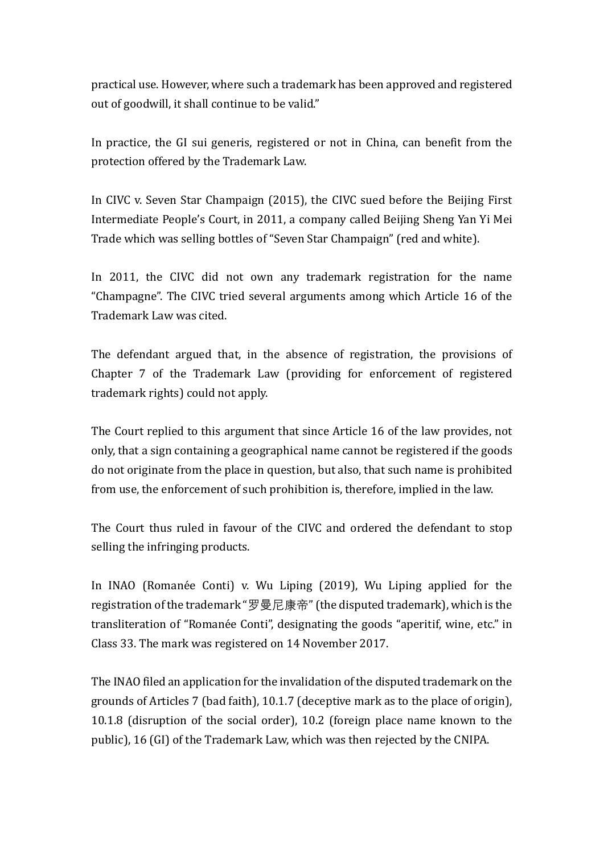practical use. However, where such a trademark has been approved and registered out of goodwill, it shall continue to be valid."

In practice, the GI sui generis, registered or not in China, can benefit from the protection offered by the Trademark Law.

In CIVC v. Seven Star Champaign (2015), the CIVC sued before the Beijing First Intermediate People's Court, in 2011, a company called Beijing Sheng Yan Yi Mei Trade which was selling bottles of "Seven Star Champaign" (red and white).

In 2011, the CIVC did not own any trademark registration for the name "Champagne". The CIVC tried several arguments among which Article 16 of the Trademark Law was cited.

The defendant argued that, in the absence of registration, the provisions of Chapter 7 of the Trademark Law (providing for enforcement of registered trademark rights) could not apply.

The Court replied to this argument that since Article 16 of the law provides, not only, that a sign containing a geographical name cannot be registered if the goods do not originate from the place in question, but also, that such name is prohibited from use, the enforcement of such prohibition is, therefore, implied in the law.

The Court thus ruled in favour of the CIVC and ordered the defendant to stop selling the infringing products.

In INAO (Romanée Conti) v. Wu Liping (2019), Wu Liping applied for the registration of the trademark "罗曼尼康帝" (the disputed trademark), which is the transliteration of "Romanée Conti", designating the goods "aperitif, wine, etc." in Class 33. The mark was registered on 14 November 2017.

The INAO filed an application for the invalidation of the disputed trademark on the grounds of Articles 7 (bad faith), 10.1.7 (deceptive mark as to the place of origin), 10.1.8 (disruption of the social order), 10.2 (foreign place name known to the public), 16 (GI) of the Trademark Law, which was then rejected by the CNIPA.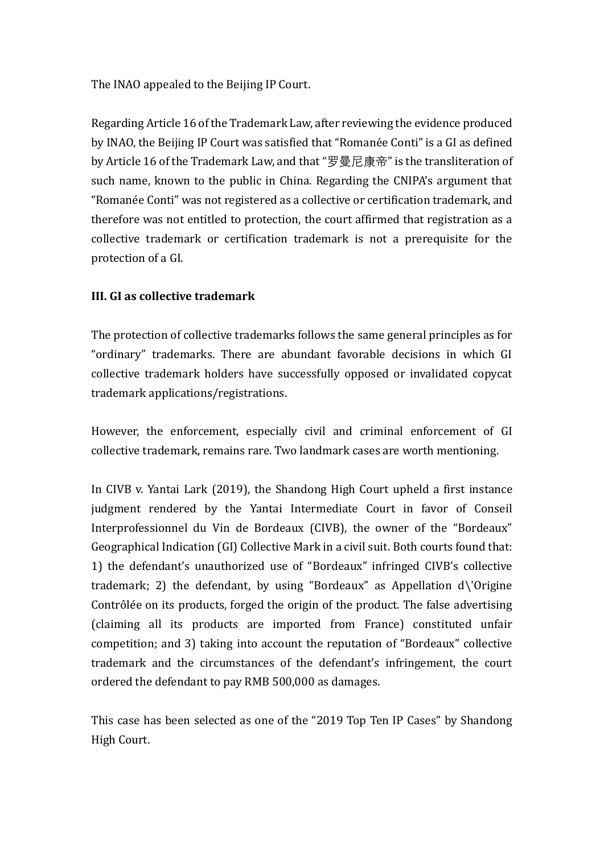The INAO appealed to the Beijing IP Court.

Regarding Article 16 of the Trademark Law, after reviewing the evidence produced by INAO, the Beijing IP Court was satisfied that "Romanée Conti" is a GI as defined by Article 16 of the Trademark Law, and that "罗曼尼康帝" is the transliteration of such name, known to the public in China. Regarding the CNIPA's argument that "Romanée Conti" was not registered as a collective or certification trademark, and therefore was not entitled to protection, the court affirmed that registration as a collective trademark or certification trademark is not a prerequisite for the protection of a GI.

## **III. GI as collective trademark**

The protection of collective trademarks follows the same general principles as for "ordinary" trademarks. There are abundant favorable decisions in which GI collective trademark holders have successfully opposed or invalidated copycat trademark applications/registrations.

However, the enforcement, especially civil and criminal enforcement of GI collective trademark, remains rare. Two landmark cases are worth mentioning.

In CIVB v. Yantai Lark (2019), the Shandong High Court upheld a first instance judgment rendered by the Yantai Intermediate Court in favor of Conseil Interprofessionnel du Vin de Bordeaux (CIVB), the owner of the "Bordeaux" Geographical Indication (GI) Collective Mark in a civil suit. Both courts found that: 1) the defendant's unauthorized use of "Bordeaux" infringed CIVB's collective trademark; 2) the defendant, by using "Bordeaux" as Appellation d\'Origine Contrôlée on its products, forged the origin of the product. The false advertising (claiming all its products are imported from France) constituted unfair competition; and 3) taking into account the reputation of "Bordeaux" collective trademark and the circumstances of the defendant's infringement, the court ordered the defendant to pay RMB 500,000 as damages.

This case has been selected as one of the "2019 Top Ten IP Cases" by Shandong High Court.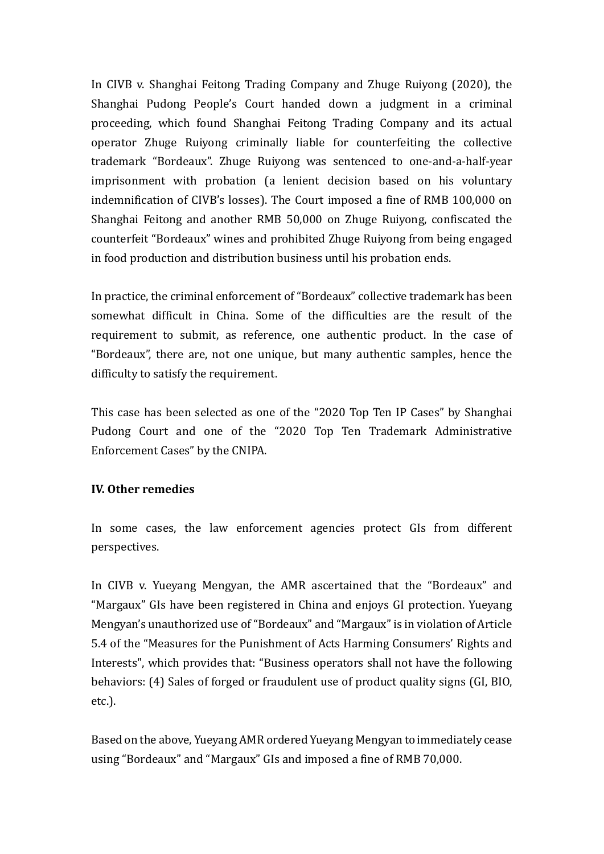In CIVB v. Shanghai Feitong Trading Company and Zhuge Ruiyong (2020), the Shanghai Pudong People's Court handed down a judgment in a criminal proceeding, which found Shanghai Feitong Trading Company and its actual operator Zhuge Ruiyong criminally liable for counterfeiting the collective trademark "Bordeaux". Zhuge Ruiyong was sentenced to one-and-a-half-year imprisonment with probation (a lenient decision based on his voluntary indemnification of CIVB's losses). The Court imposed a fine of RMB 100,000 on Shanghai Feitong and another RMB 50,000 on Zhuge Ruiyong, confiscated the counterfeit "Bordeaux" wines and prohibited Zhuge Ruiyong from being engaged in food production and distribution business until his probation ends.

In practice, the criminal enforcement of "Bordeaux" collective trademark has been somewhat difficult in China. Some of the difficulties are the result of the requirement to submit, as reference, one authentic product. In the case of "Bordeaux", there are, not one unique, but many authentic samples, hence the difficulty to satisfy the requirement.

This case has been selected as one of the "2020 Top Ten IP Cases" by Shanghai Pudong Court and one of the "2020 Top Ten Trademark Administrative Enforcement Cases" by the CNIPA.

## **IV. Other remedies**

In some cases, the law enforcement agencies protect GIs from different perspectives.

In CIVB v. Yueyang Mengyan, the AMR ascertained that the "Bordeaux" and "Margaux" GIs have been registered in China and enjoys GI protection. Yueyang Mengyan's unauthorized use of "Bordeaux" and "Margaux" is in violation of Article 5.4 of the "Measures for the Punishment of Acts Harming Consumers' Rights and Interests", which provides that: "Business operators shall not have the following behaviors: (4) Sales of forged or fraudulent use of product quality signs (GI, BIO, etc.).

Based on the above, Yueyang AMR ordered Yueyang Mengyan to immediately cease using "Bordeaux" and "Margaux" GIs and imposed a fine of RMB 70,000.